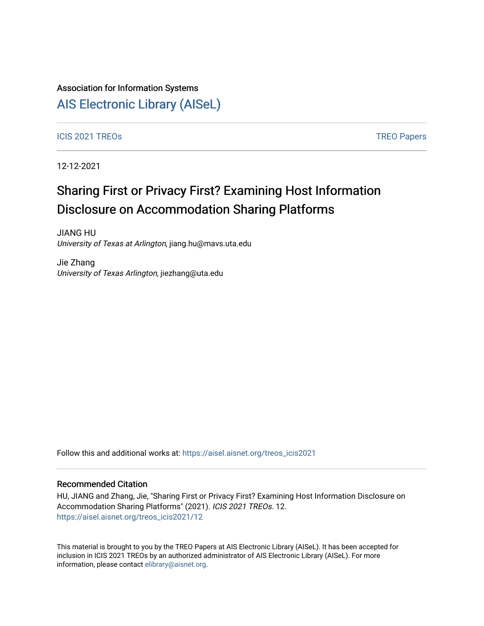## Association for Information Systems

## [AIS Electronic Library \(AISeL\)](https://aisel.aisnet.org/)

### ICIS 2021 TREOS Notes that the contract of the contract of the contract of the contract of the contract of the contract of the contract of the contract of the contract of the contract of the contract of the contract of the

12-12-2021

# Sharing First or Privacy First? Examining Host Information Disclosure on Accommodation Sharing Platforms

JIANG HU University of Texas at Arlington, jiang.hu@mavs.uta.edu

Jie Zhang University of Texas Arlington, jiezhang@uta.edu

Follow this and additional works at: [https://aisel.aisnet.org/treos\\_icis2021](https://aisel.aisnet.org/treos_icis2021?utm_source=aisel.aisnet.org%2Ftreos_icis2021%2F12&utm_medium=PDF&utm_campaign=PDFCoverPages) 

#### Recommended Citation

HU, JIANG and Zhang, Jie, "Sharing First or Privacy First? Examining Host Information Disclosure on Accommodation Sharing Platforms" (2021). ICIS 2021 TREOs. 12. [https://aisel.aisnet.org/treos\\_icis2021/12](https://aisel.aisnet.org/treos_icis2021/12?utm_source=aisel.aisnet.org%2Ftreos_icis2021%2F12&utm_medium=PDF&utm_campaign=PDFCoverPages) 

This material is brought to you by the TREO Papers at AIS Electronic Library (AISeL). It has been accepted for inclusion in ICIS 2021 TREOs by an authorized administrator of AIS Electronic Library (AISeL). For more information, please contact [elibrary@aisnet.org.](mailto:elibrary@aisnet.org%3E)